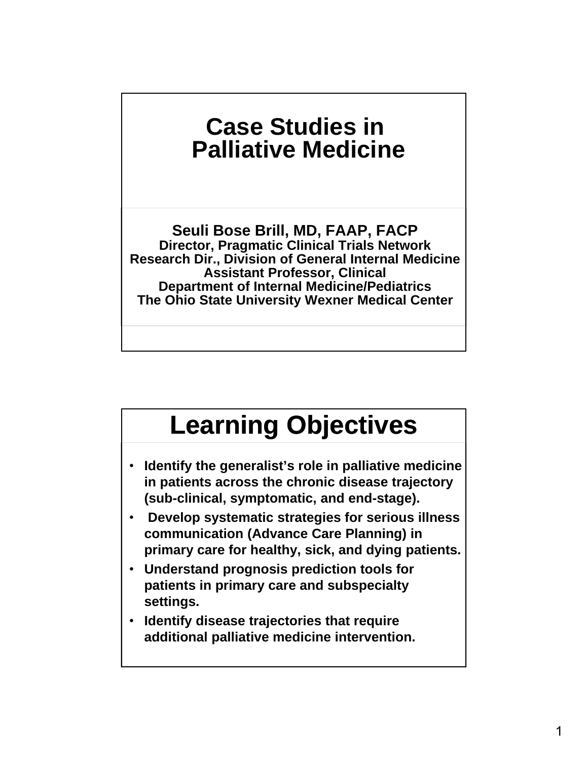### **Case Studies in Palliative Medicine**

**Seuli Bose Brill, MD, FAAP, FACP Director, Pragmatic Clinical Trials Network Research Dir., Division of General Internal Medicine Assistant Professor, Clinical Department of Internal Medicine/Pediatrics The Ohio State University Wexner Medical Center**

### **Learning Objectives**

- **Identify the generalist's role in palliative medicine in patients across the chronic disease trajectory (sub-clinical, symptomatic, and end-stage).**
- **Develop systematic strategies for serious illness communication (Advance Care Planning) in primary care for healthy, sick, and dying patients.**
- **Understand prognosis prediction tools for patients in primary care and subspecialty settings.**
- **Identify disease trajectories that require additional palliative medicine intervention.**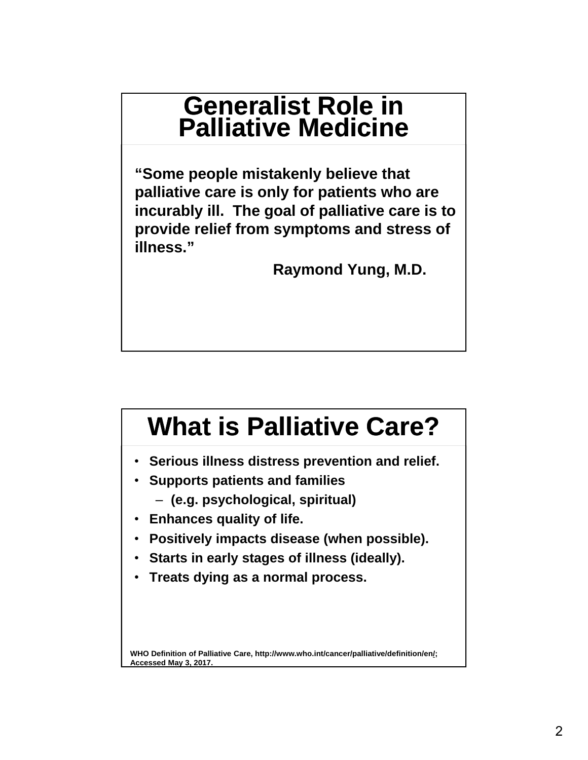### **Generalist Role in Palliative Medicine**

**"Some people mistakenly believe that palliative care is only for patients who are incurably ill. The goal of palliative care is to provide relief from symptoms and stress of illness."**

**Raymond Yung, M.D.**

### **What is Palliative Care?**

- **Serious illness distress prevention and relief.**
- **Supports patients and families** 
	- ‒ **(e.g. psychological, spiritual)**
- **Enhances quality of life.**
- **Positively impacts disease (when possible).**
- **Starts in early stages of illness (ideally).**
- **Treats dying as a normal process.**

WHO Definition of Palliative Care, http://www.who.int/cancer/palliative/definition/en/; **Accessed May 3, 2017.**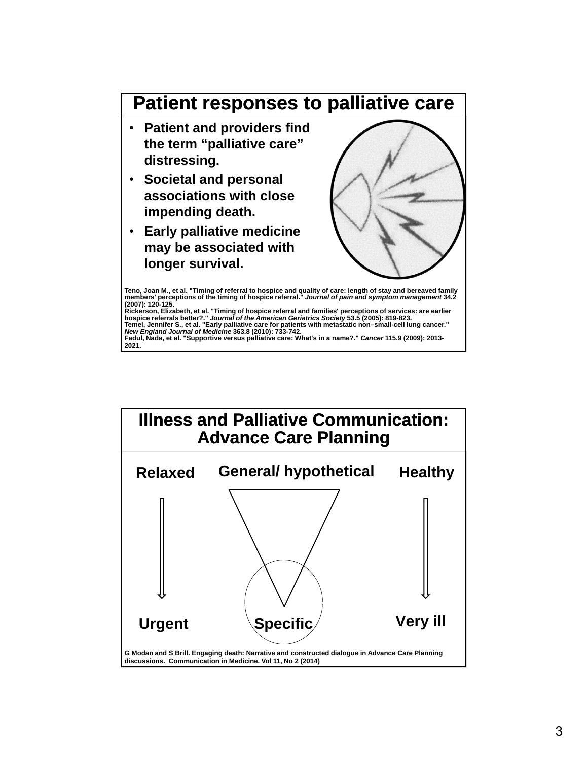

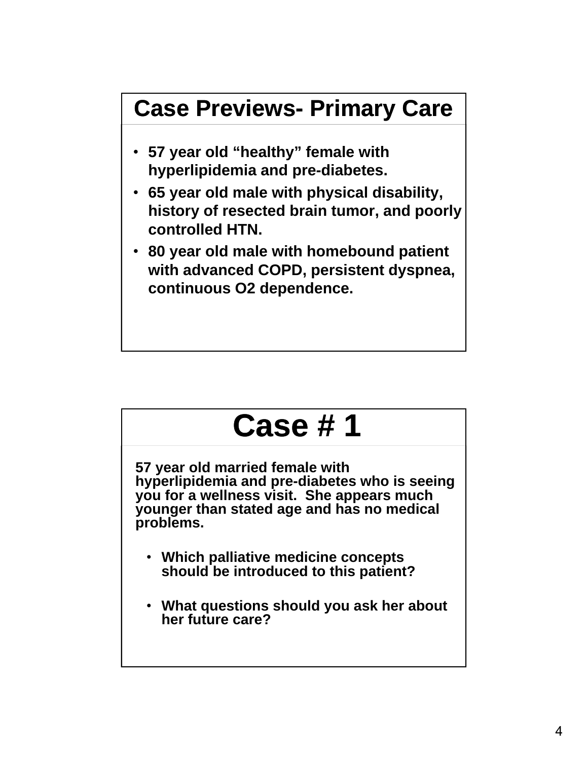

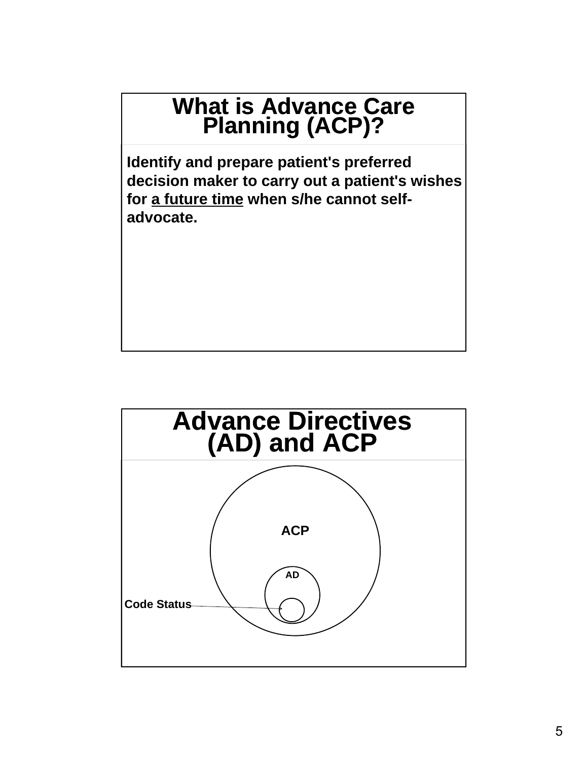#### **What is Advance Care Planning (ACP)?**

**Identify and prepare patient's preferred decision maker to carry out a patient's wishes for a future time when s/he cannot selfadvocate.** 

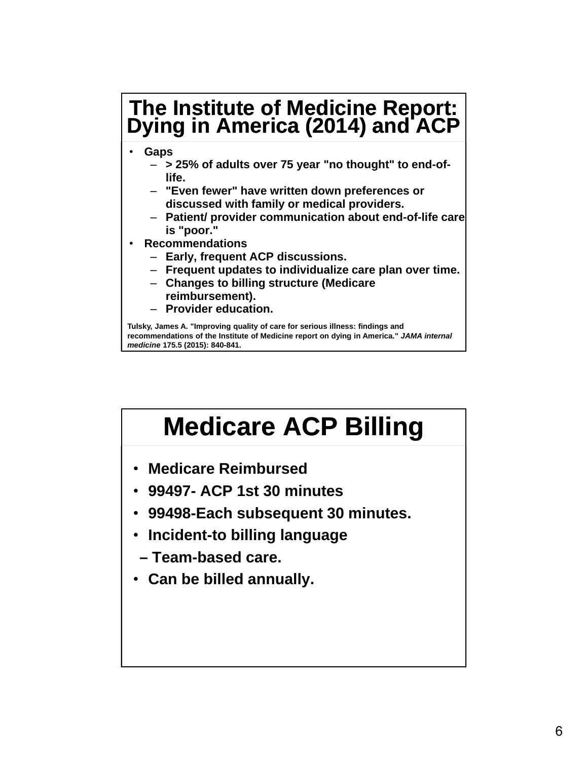#### **The Institute of Medicine Report: Dying in America (2014) and ACP**

- **Gaps**
	- ‒ **> 25% of adults over 75 year "no thought" to end-oflife.**
	- ‒ **"Even fewer" have written down preferences or discussed with family or medical providers.**
	- ‒ **Patient/ provider communication about end-of-life care is "poor."**
- **Recommendations**
	- ‒ **Early, frequent ACP discussions.**
	- ‒ **Frequent updates to individualize care plan over time.**
	- ‒ **Changes to billing structure (Medicare reimbursement).**
	- ‒ **Provider education.**

**Tulsky, James A. "Improving quality of care for serious illness: findings and recommendations of the Institute of Medicine report on dying in America."** *JAMA internal medicine* **175.5 (2015): 840-841.**

# **Medicare ACP Billing**

- **Medicare Reimbursed**
- **99497- ACP 1st 30 minutes**
- **99498-Each subsequent 30 minutes.**
- **Incident-to billing language**
- **Team-based care.**
- **Can be billed annually.**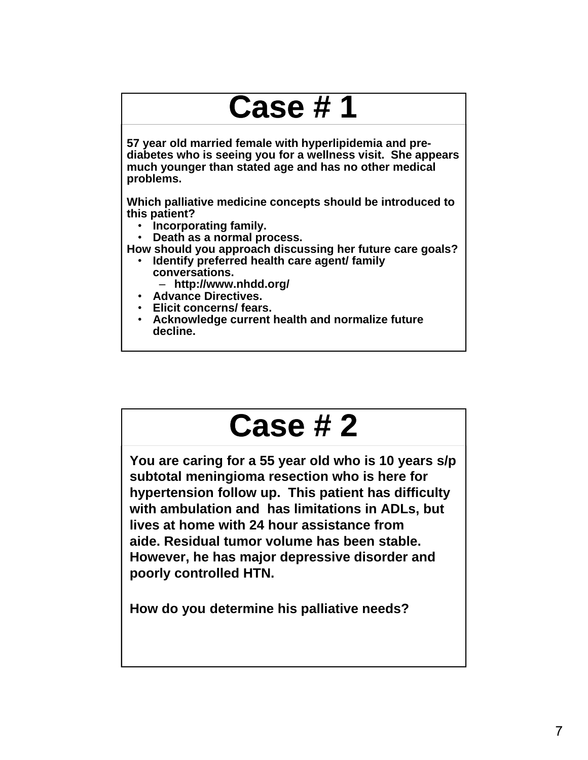## **Case # 1**

**57 year old married female with hyperlipidemia and prediabetes who is seeing you for a wellness visit. She appears much younger than stated age and has no other medical problems.** 

**Which palliative medicine concepts should be introduced to this patient?**

- **Incorporating family.**
- **Death as a normal process.**
- **How should you approach discussing her future care goals?**
	- **Identify preferred health care agent/ family conversations.**
		- ‒ **http://www.nhdd.org/**
	- **Advance Directives.**
	- **Elicit concerns/ fears.**
	- **Acknowledge current health and normalize future decline.**

### **Case # 2**

**You are caring for a 55 year old who is 10 years s/p subtotal meningioma resection who is here for hypertension follow up. This patient has difficulty with ambulation and has limitations in ADLs, but lives at home with 24 hour assistance from aide. Residual tumor volume has been stable. However, he has major depressive disorder and poorly controlled HTN.** 

**How do you determine his palliative needs?**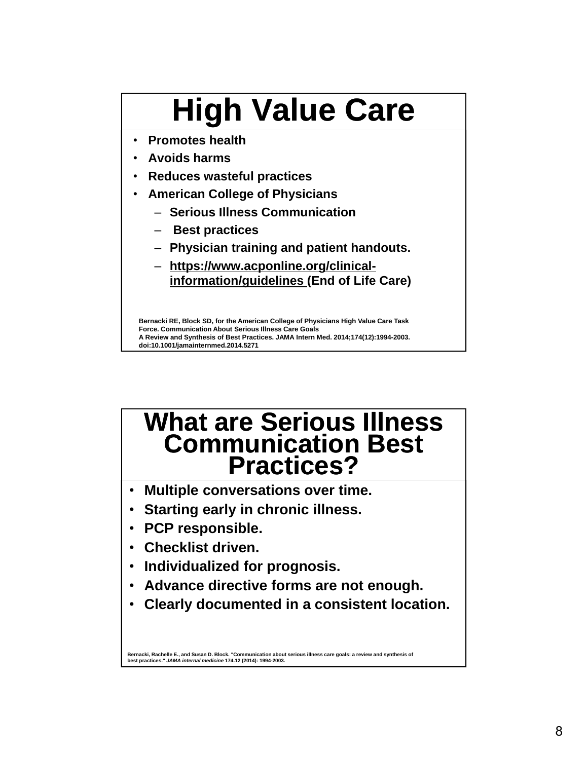# **High Value Care**

- **Promotes health**
- **Avoids harms**
- **Reduces wasteful practices**
- **American College of Physicians**
	- ‒ **Serious Illness Communication**
	- ‒ **Best practices**
	- ‒ **Physician training and patient handouts.**
	- ‒ **https://www.acponline.org/clinicalinformation/guidelines (End of Life Care)**

**Bernacki RE, Block SD, for the American College of Physicians High Value Care Task Force. Communication About Serious Illness Care Goals A Review and Synthesis of Best Practices. JAMA Intern Med. 2014;174(12):1994-2003. doi:10.1001/jamainternmed.2014.5271**

#### **What are Serious Illness Communication Best Practices?**

- **Multiple conversations over time.**
- **Starting early in chronic illness.**
- **PCP responsible.**
- **Checklist driven.**
- **Individualized for prognosis.**
- **Advance directive forms are not enough.**
- **Clearly documented in a consistent location.**

**Bernacki, Rachelle E., and Susan D. Block. "Communication about serious illness care goals: a review and synthesis of best practices."** *JAMA internal medicine* **174.12 (2014): 1994-2003.**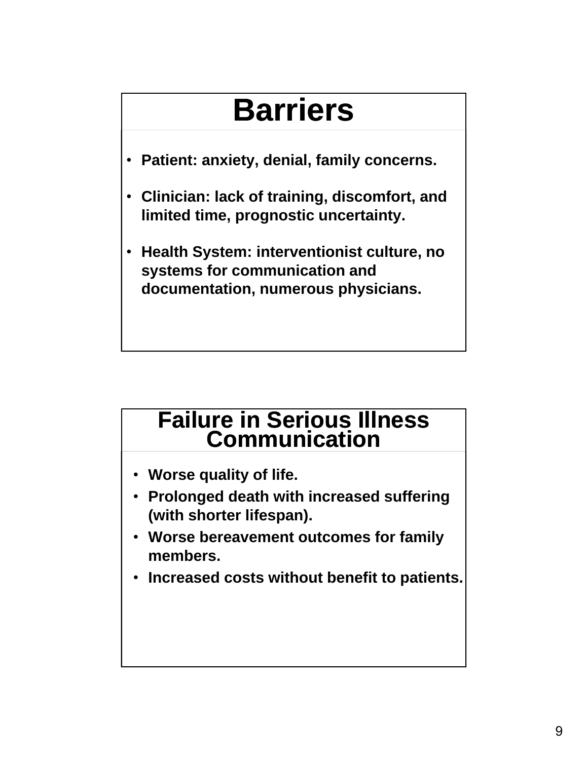## **Barriers**

- **Patient: anxiety, denial, family concerns.**
- **Clinician: lack of training, discomfort, and limited time, prognostic uncertainty.**
- **Health System: interventionist culture, no systems for communication and documentation, numerous physicians.**

#### **Failure in Serious Illness Communication**

- **Worse quality of life.**
- **Prolonged death with increased suffering (with shorter lifespan).**
- **Worse bereavement outcomes for family members.**
- **Increased costs without benefit to patients.**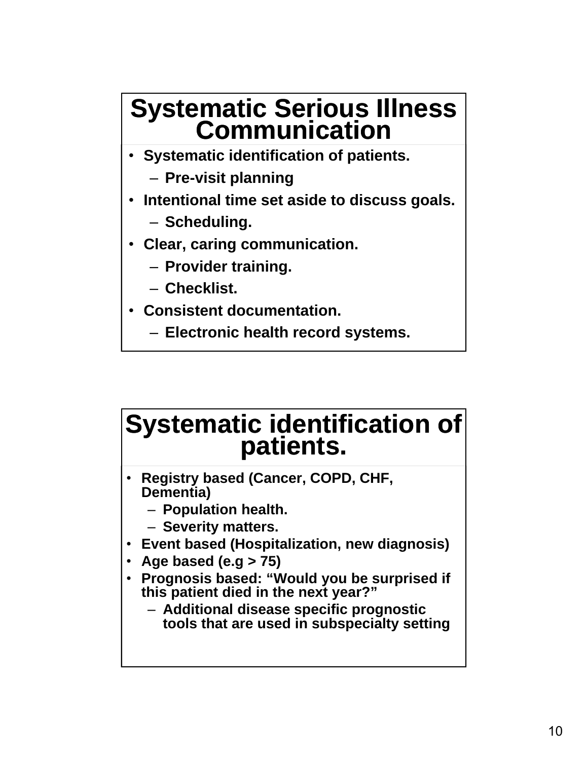# **Systematic Serious Illness Communication**

- **Systematic identification of patients.**
	- ‒ **Pre-visit planning**
- **Intentional time set aside to discuss goals.**
	- ‒ **Scheduling.**
- **Clear, caring communication.**
	- ‒ **Provider training.**
	- ‒ **Checklist.**
- **Consistent documentation.**
	- ‒ **Electronic health record systems.**

# **Systematic identification of patients.**

- **Registry based (Cancer, COPD, CHF, Dementia)**
	- ‒ **Population health.**
	- ‒ **Severity matters.**
- **Event based (Hospitalization, new diagnosis)**
- **Age based (e.g > 75)**
- **Prognosis based: "Would you be surprised if this patient died in the next year?"** 
	- ‒ **Additional disease specific prognostic tools that are used in subspecialty setting**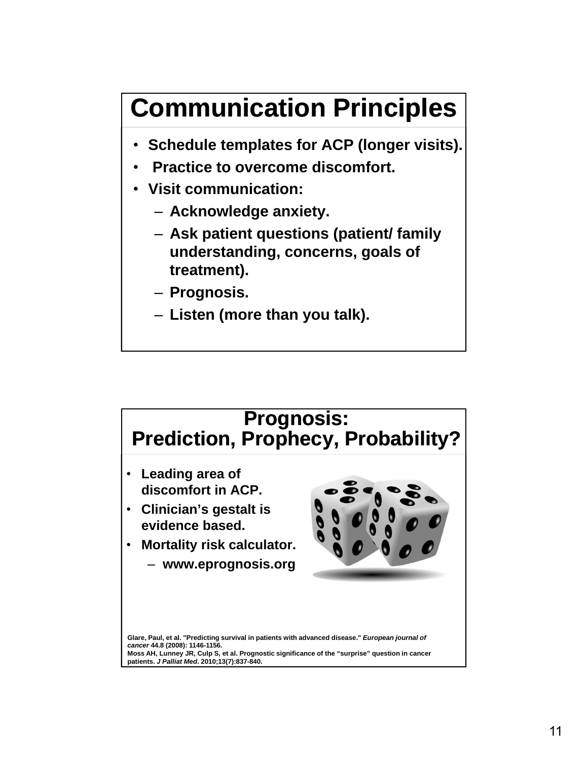### **Communication Principles**

- **Schedule templates for ACP (longer visits).**
- **Practice to overcome discomfort.**
- **Visit communication:**
	- ‒ **Acknowledge anxiety.**
	- ‒ **Ask patient questions (patient/ family understanding, concerns, goals of treatment).**
	- ‒ **Prognosis.**
	- ‒ **Listen (more than you talk).**

### **Prognosis: Prediction, Prophecy, Probability?**

- **Leading area of discomfort in ACP.**
- **Clinician's gestalt is evidence based.**
- **Mortality risk calculator.** ‒ **www.eprognosis.org**



**Glare, Paul, et al. "Predicting survival in patients with advanced disease."** *European journal of cancer* **44.8 (2008): 1146-1156. Moss AH, Lunney JR, Culp S, et al. Prognostic significance of the "surprise" question in cancer patients.** *J Palliat Med***. 2010;13(7):837-840.**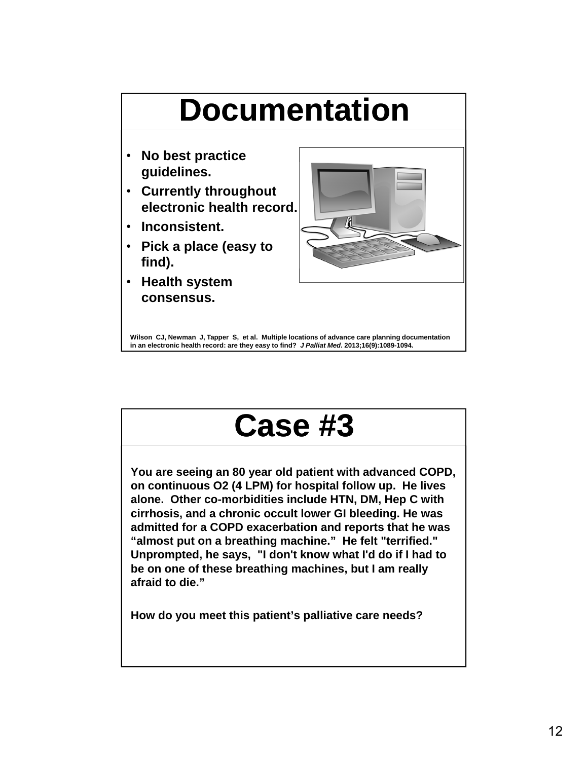

**Wilson CJ, Newman J, Tapper S, et al. Multiple locations of advance care planning documentation in an electronic health record: are they easy to find?** *J Palliat Med***. 2013;16(9):1089-1094.**

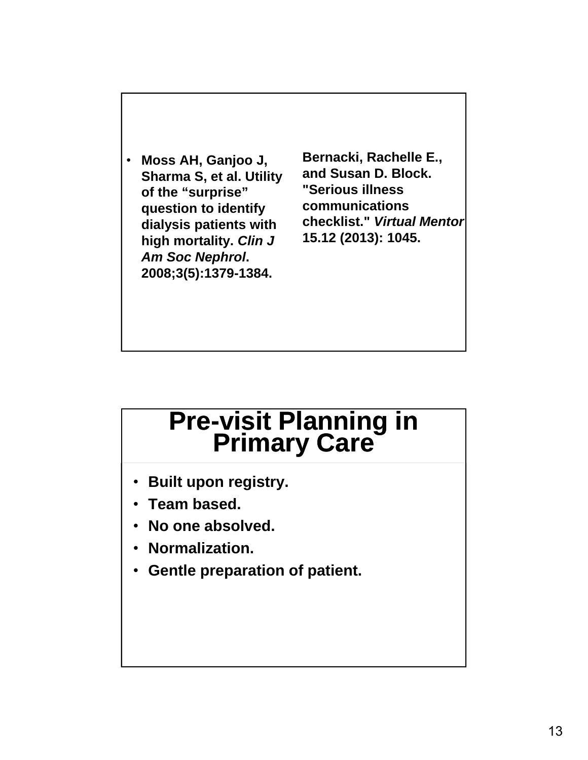• **Moss AH, Ganjoo J, Sharma S, et al. Utility of the "surprise" question to identify dialysis patients with high mortality.** *Clin J Am Soc Nephrol***. 2008;3(5):1379-1384.**

**Bernacki, Rachelle E., and Susan D. Block. "Serious illness communications checklist."** *Virtual Mentor* **15.12 (2013): 1045.**

# **Pre-visit Planning in Primary Care**

- **Built upon registry.**
- **Team based.**
- **No one absolved.**
- **Normalization.**
- **Gentle preparation of patient.**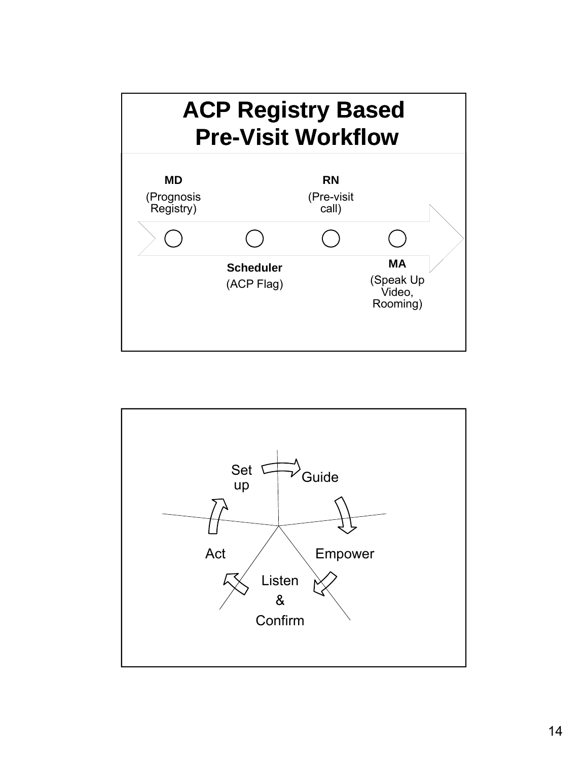

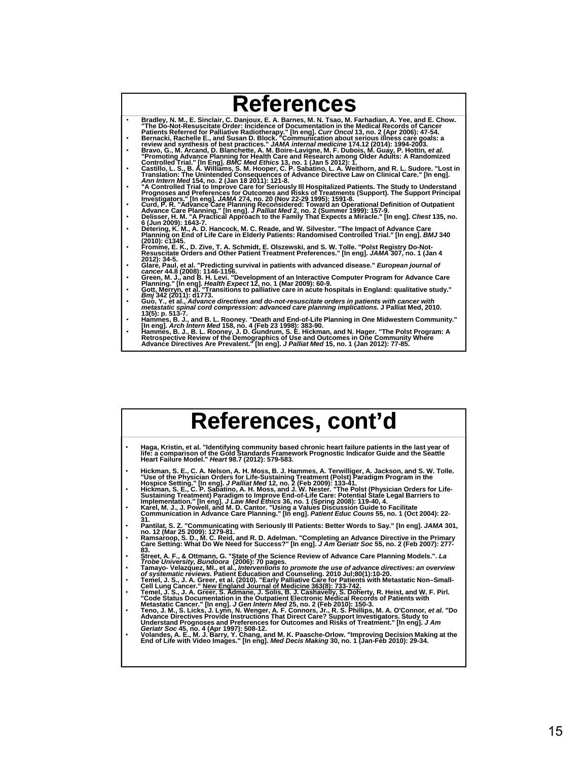|           | <b>References</b>                                                                                                                                                                                           |
|-----------|-------------------------------------------------------------------------------------------------------------------------------------------------------------------------------------------------------------|
| $\bullet$ | Bradley, N. M., E. Sinclair, C. Danjoux, E. A. Barnes, M. N. Tsao, M. Farhadian, A. Yee, and E. Chow.<br>"The Do-Not-Resuscitate Order: Incidence of Documentation in the Medical Records of Cancer         |
| $\bullet$ | Patients Referred for Palliative Radiotherapy." [In eng]. Curr Oncol 13, no. 2 (Apr 2006): 47-54.<br>Bernacki, Rachelle E., and Susan D. Block. "Communication about serious illness care goals: a          |
| $\bullet$ | review and synthesis of best practices." JAMA internal medicine 174.12 (2014): 1994-2003.                                                                                                                   |
|           | Bravo, G., M. Arcand, D. Blanchette, A. M. Boire-Lavigne, M. F. Dubois, M. Guay, P. Hottin, et al.<br>"Promoting Advance Planning for Health Care and Research among Older Adults: A Randomized             |
|           | Controlled Trial." [In Eng]. BMC Med Ethics 13, no. 1 (Jan 5 2012): 1.                                                                                                                                      |
| $\bullet$ | Castillo, L. S., B. A. Williams, S. M. Hooper, C. P. Sabatino, L. A. Weithorn, and R. L. Sudore. "Lost in<br>Translation: The Unintended Consequences of Advance Directive Law on Clinical Care." [In eng]. |
|           | Ann Intern Med 154, no. 2 (Jan 18 2011): 121-8.                                                                                                                                                             |
| $\bullet$ | A Controlled Trial to Improve Care for Seriously III Hospitalized Patients. The Study to Understand "                                                                                                       |
|           | Prognoses and Preferences for Outcomes and Risks of Treatments (Support). The Support Principal<br>Investigators." [In eng]. JAMA 274, no. 20 (Nov 22-29 1995): 1591-8.                                     |
| $\bullet$ | Curd, P. R. "Advance Care Planning Reconsidered: Toward an Operational Definition of Outpatient                                                                                                             |
| $\bullet$ | Advance Care Planning." [In eng]. J Palliat Med 2, no. 2 (Summer 1999): 157-9.                                                                                                                              |
|           | Delisser, H. M. "A Practical Approach to the Family That Expects a Miracle." [In eng]. Chest 135, no.<br>6 (Jun 2009): 1643-7.                                                                              |
| $\bullet$ | Detering, K. M., A. D. Hancock, M. C. Reade, and W. Silvester. "The Impact of Advance Care                                                                                                                  |
|           | Planning on End of Life Care in Elderly Patients: Randomised Controlled Trial." [In eng]. BMJ 340<br>$(2010):$ $c1345.$                                                                                     |
| $\bullet$ | Fromme, E. K., D. Zive, T. A. Schmidt, E. Olszewski, and S. W. Tolle. "Polst Registry Do-Not-                                                                                                               |
|           | Resuscitate Orders and Other Patient Treatment Preferences." [In eng]. JAMA 307, no. 1 (Jan 4                                                                                                               |
| $\bullet$ | 2012): 34-5.<br>Glaré, Paul, et al. "Predicting survival in patients with advanced disease." European journal of                                                                                            |
|           | cancer 44.8 (2008): 1146-1156.                                                                                                                                                                              |
| $\bullet$ | Green, M. J., and B. H. Levi. "Development of an Interactive Computer Program for Advance Care<br>Planning." [In eng]. Health Expect 12, no. 1 (Mar 2009): 60-9.                                            |
| ٠         | "Gott, Merryn, et al. "Transitions to palliative care in acute hospitals in England: qualitative study."                                                                                                    |
|           | <i>Bmi</i> 342 (2011): d1773.                                                                                                                                                                               |
| $\bullet$ | Guo, Y., et al., Advance directives and do-not-resuscitate orders in patients with cancer with<br>metastatic spinal cord compression: advanced care planning implications. J Palliat Med, 2010.             |
|           | 13(5): p. 513-7.                                                                                                                                                                                            |
| ٠         | Hammes, B. J., and B. L. Rooney. "Death and End-of-Life Planning in One Midwestern Community."<br>lln engl. <i>Arch Intern Med</i> 158. no. 4 (Feb 23 1998): 383-90.                                        |

fin engl. *Arch meer wea* 13o, no. 4 (rep 23 1996): 303-90.<br>Hammes, B. J., B. L. Rooney, J. D. Gundrum, S. E. Hickman, and N. Hager. "The Polst Program: A<br>Retrospective Review of the Demographics of Use and Outcomes in One

|           | References, cont'd                                                                                                                                                                                                                                                                                                                                                                 |
|-----------|------------------------------------------------------------------------------------------------------------------------------------------------------------------------------------------------------------------------------------------------------------------------------------------------------------------------------------------------------------------------------------|
| $\bullet$ | Haga, Kristin, et al. "Identifying community based chronic heart failure patients in the last year of<br>life: a comparison of the Gold Standards Framework Prognostic Indicator Guide and the Seattle<br>Heart Failure Model." Heart 98.7 (2012): 579-583.                                                                                                                        |
| $\bullet$ | Hickman, S. E., C. A. Nelson, A. H. Moss, B. J. Hammes, A. Terwilliger, A. Jackson, and S. W. Tolle.<br>"Use of the Physician Orders for Life-Sustaining Treatment (Polst) Paradigm Program in the                                                                                                                                                                                 |
| $\bullet$ | Hospice Setting." [In eng]. J Palliat Med 12, no. 2 (Feb 2009): 133-41.<br>Hickman, S. E., C. P. Sabatino, A. H. Moss, and J. W. Nester. "The Polst (Physician Orders for Life-<br>Sustaining Treatment) Paradigm to Improve End-of-Life Care: Potential State Legal Barriers to                                                                                                   |
|           | Implementation." [In eng]. J Law Med Ethics 36, no. 1 (Spring 2008): 119-40, 4.<br>Karel, M. J., J. Powell, and M. D. Cantor. "Using a Values Discussion Guide to Facilitate<br>Communication in Advance Care Planning." [In eng]. Patient Educ Couns 55, no. 1 (Oct 2004): 22-                                                                                                    |
| $\bullet$ | 31.<br>Pantilat, S. Z. "Communicating with Seriously III Patients: Better Words to Say." [In eng]. JAMA 301,<br>no. 12 (Mar 25 2009): 1279-81.                                                                                                                                                                                                                                     |
| $\bullet$ | Ramsaroop, S. D., M. C. Reid, and R. D. Adelman. "Completing an Advance Directive in the Primary<br>Care Setting: What Do We Need for Success?" [In eng]. J Am Geriatr Soc 55, no. 2 (Feb 2007): 277-<br>83.                                                                                                                                                                       |
| $\bullet$ | Street, A. F., & Ottmann, G. "State of the Science Review of Advance Care Planning Models.". La<br>Trobe University, Bundoora (2006): 70 pages.                                                                                                                                                                                                                                    |
| $\bullet$ | Tamayo- Velazquez, MI., et al., Interventions to promote the use of advance directives: an overview<br>of systematic reviews. Patient Education and Counseling. 2010 Jul:80(1):10-20.                                                                                                                                                                                              |
| $\bullet$ | Temel, J. S., J. A. Greer, et al. (2010). "Early Palliative Care for Patients with Metastatic Non-Small-<br>Cell Lung Cancer." New England Journal of Medicine 363(8): 733-742.                                                                                                                                                                                                    |
| $\bullet$ | Temel, J. S., J. A. Greer, S. Admane, J. Solis, B. J. Cashavelly, S. Doherty, R. Heist, and W. F. Pirl.<br>"Code Status Documentation in the Outpatient Electronic Medical Records of Patients with                                                                                                                                                                                |
| $\bullet$ | Metastatic Cancer." [In eng]. J Gen Intern Med 25, no. 2 (Feb 2010): 150-3.<br>Teno, J. M., S. Licks, J. Lynn, N. Wenger, A. F. Connors, Jr., R. S. Phillips, M. A. O'Connor, et al. "Do<br>Advance Directives Provide Instructions That Direct Care? Support Investigators. Study to<br>Understand Prognoses and Preferences for Outcomes and Risks of Treatment." [In eng]. J Am |
| $\bullet$ | Geriatr Soc 45, no. 4 (Apr 1997): 508-12.<br>Volandes, A. E., M. J. Barry, Y. Chang, and M. K. Paasche-Orlow. "Improving Decision Making at the<br>End of Life with Video Images." [In eng]. Med Decis Making 30, no. 1 (Jan-Feb 2010): 29-34.                                                                                                                                     |
|           |                                                                                                                                                                                                                                                                                                                                                                                    |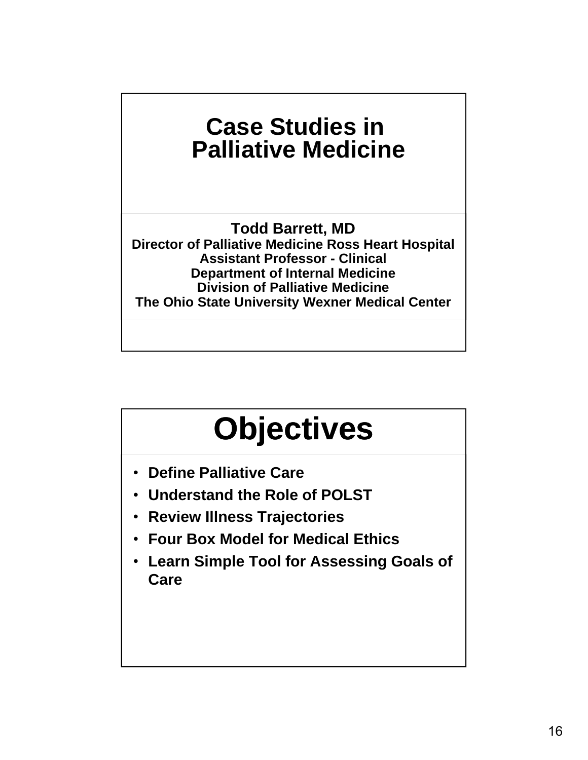### **Case Studies in Palliative Medicine**

**Todd Barrett, MD Director of Palliative Medicine Ross Heart Hospital Assistant Professor - Clinical Department of Internal Medicine Division of Palliative Medicine The Ohio State University Wexner Medical Center**

# **Objectives**

- **Define Palliative Care**
- **Understand the Role of POLST**
- **Review Illness Trajectories**
- **Four Box Model for Medical Ethics**
- **Learn Simple Tool for Assessing Goals of Care**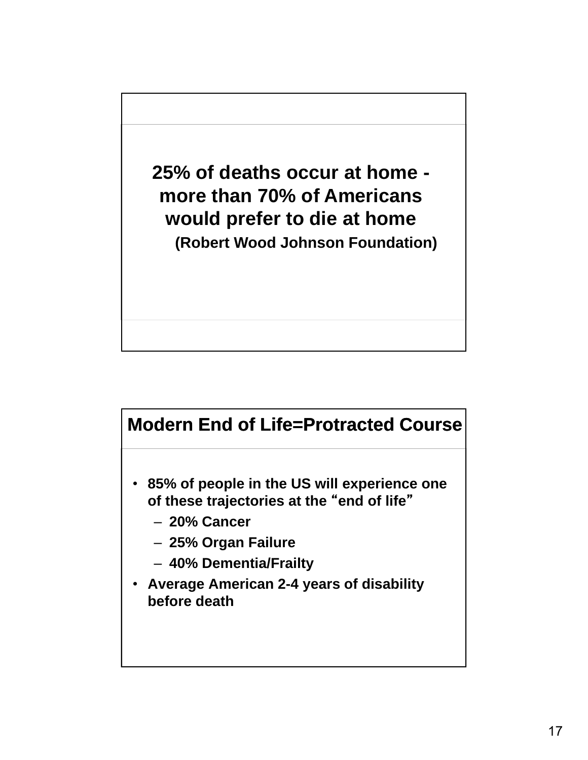**25% of deaths occur at home more than 70% of Americans would prefer to die at home (Robert Wood Johnson Foundation)**

#### **Modern End of Life=Protracted Course**

- **85% of people in the US will experience one of these trajectories at the** "**end of life**"
	- ‒ **20% Cancer**
	- ‒ **25% Organ Failure**
	- ‒ **40% Dementia/Frailty**
- **Average American 2-4 years of disability before death**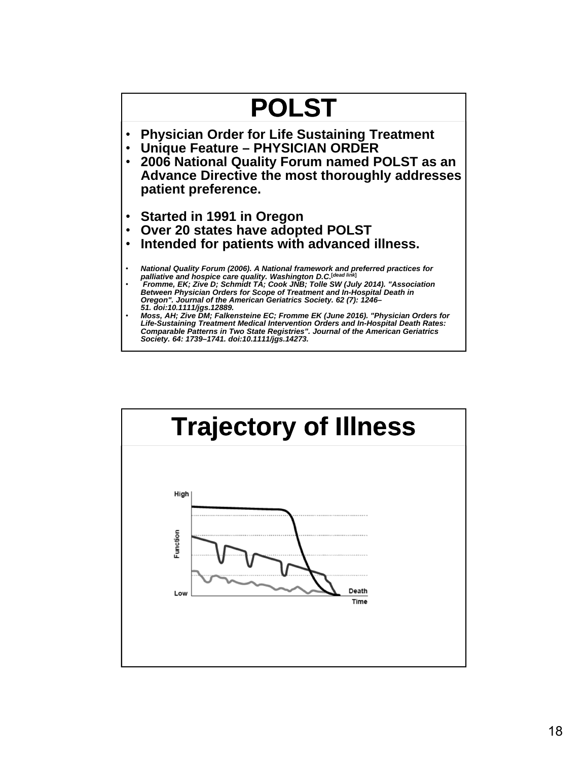

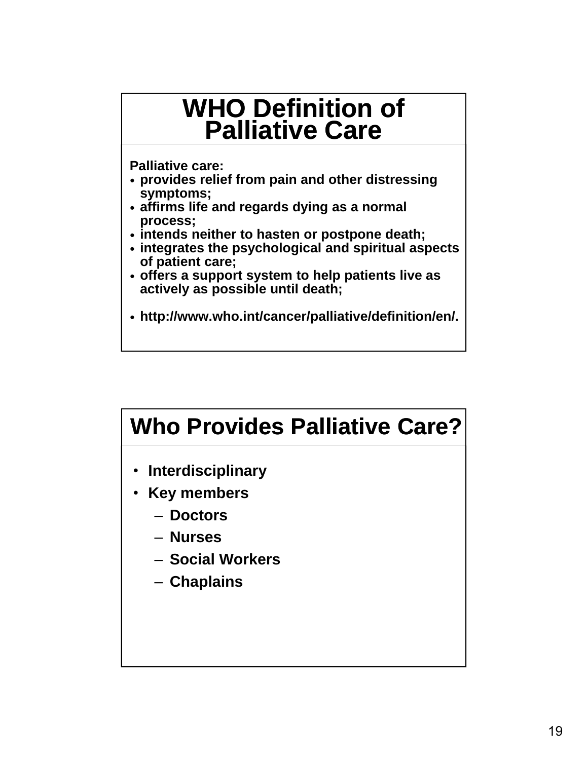### **WHO Definition of Palliative Care**

**Palliative care:**

- **provides relief from pain and other distressing symptoms;**
- **affirms life and regards dying as a normal process;**
- **intends neither to hasten or postpone death;**
- **integrates the psychological and spiritual aspects of patient care;**
- **offers a support system to help patients live as actively as possible until death;**
- **http://www.who.int/cancer/palliative/definition/en/.**

### **Who Provides Palliative Care?**

- **Interdisciplinary**
- **Key members**
	- ‒ **Doctors**
	- ‒ **Nurses**
	- ‒ **Social Workers**
	- ‒ **Chaplains**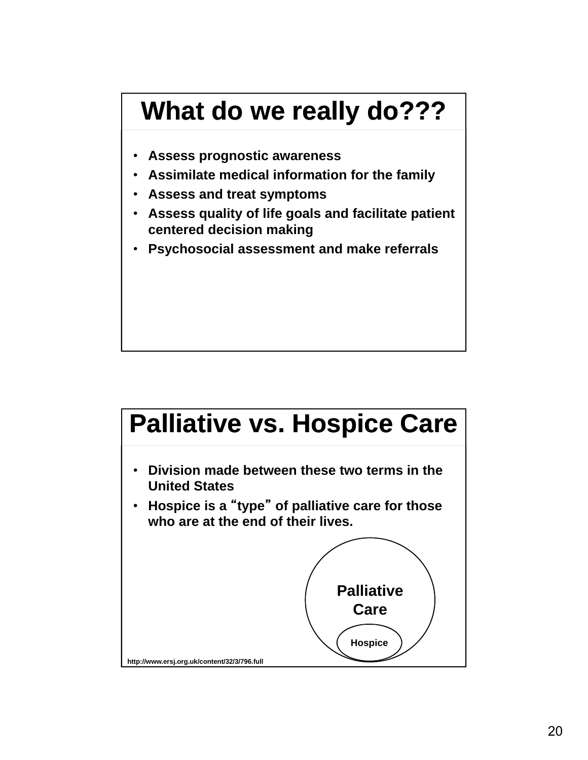### **What do we really do???**

- **Assess prognostic awareness**
- **Assimilate medical information for the family**
- **Assess and treat symptoms**
- **Assess quality of life goals and facilitate patient centered decision making**
- **Psychosocial assessment and make referrals**

# **Palliative vs. Hospice Care**

- **Division made between these two terms in the United States**
- **Hospice is a** "**type**" **of palliative care for those who are at the end of their lives.**

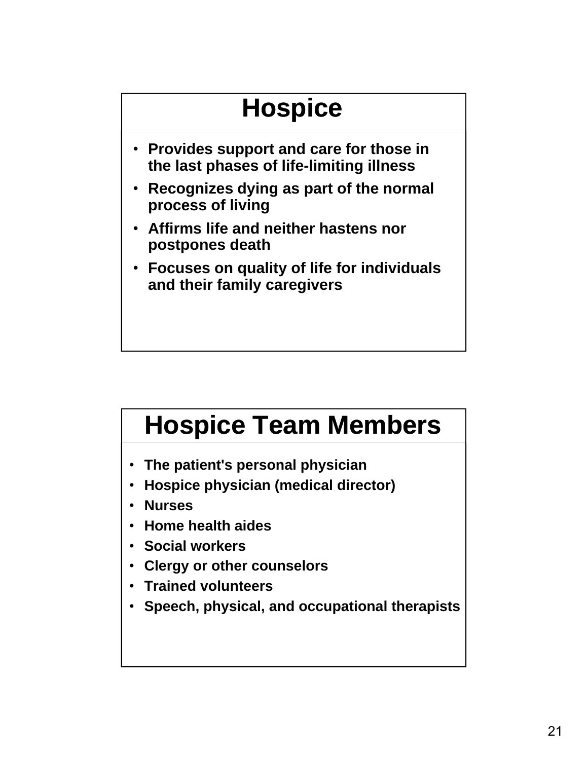### **Hospice** • **Provides support and care for those in the last phases of life-limiting illness** • **Recognizes dying as part of the normal process of living** • **Affirms life and neither hastens nor postpones death** • **Focuses on quality of life for individuals and their family caregivers**

### **Hospice Team Members**

- **The patient's personal physician**
- **Hospice physician (medical director)**
- **Nurses**
- **Home health aides**
- **Social workers**
- **Clergy or other counselors**
- **Trained volunteers**
- **Speech, physical, and occupational therapists**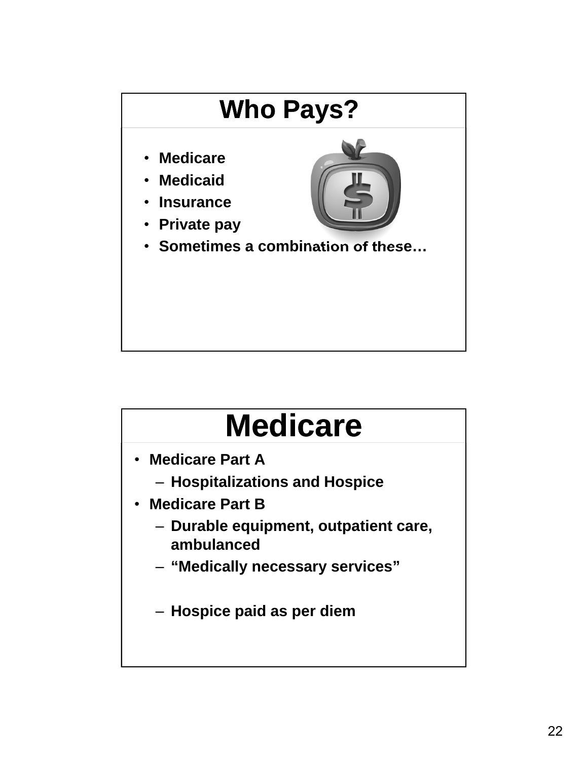

# **Medicare**

- **Medicare Part A**
	- ‒ **Hospitalizations and Hospice**
- **Medicare Part B**
	- ‒ **Durable equipment, outpatient care, ambulanced**
	- ‒ **"Medically necessary services"**
	- ‒ **Hospice paid as per diem**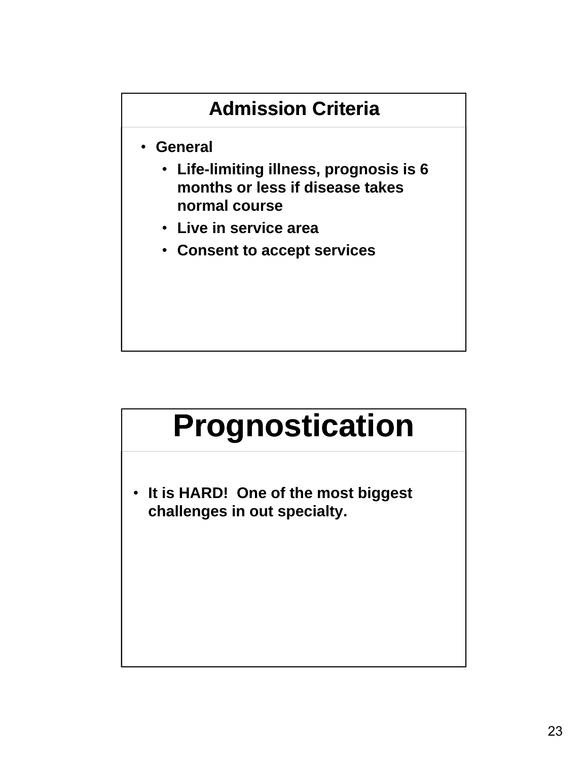#### **Admission Criteria**

- **General**
	- **Life-limiting illness, prognosis is 6 months or less if disease takes normal course**
	- **Live in service area**
	- **Consent to accept services**

## **Prognostication**

• **It is HARD! One of the most biggest challenges in out specialty.**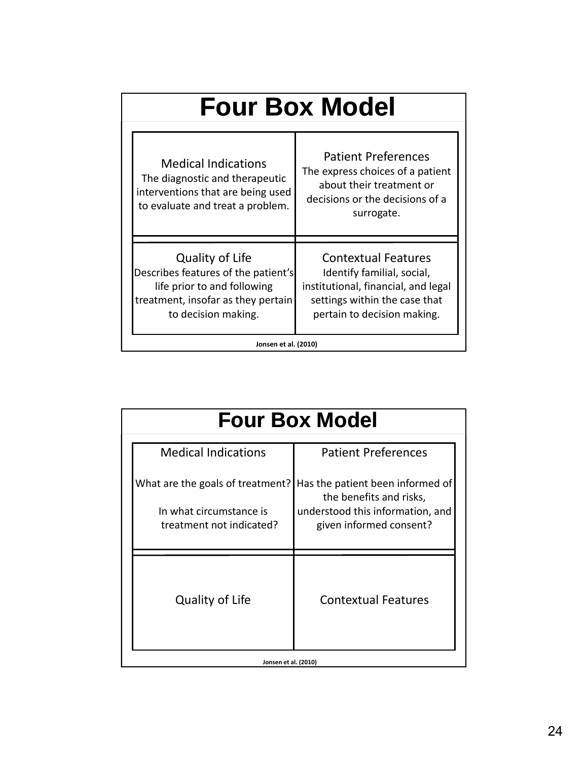| <b>Four Box Model</b>                                                                                                                              |                                                                                                                                                                 |  |  |
|----------------------------------------------------------------------------------------------------------------------------------------------------|-----------------------------------------------------------------------------------------------------------------------------------------------------------------|--|--|
| <b>Medical Indications</b><br>The diagnostic and therapeutic<br>interventions that are being used<br>to evaluate and treat a problem.              | <b>Patient Preferences</b><br>The express choices of a patient<br>about their treatment or<br>decisions or the decisions of a<br>surrogate.                     |  |  |
| Quality of Life<br>Describes features of the patient's<br>life prior to and following<br>treatment, insofar as they pertain<br>to decision making. | <b>Contextual Features</b><br>Identify familial, social,<br>institutional, financial, and legal<br>settings within the case that<br>pertain to decision making. |  |  |
| Jonsen et al. (2010)                                                                                                                               |                                                                                                                                                                 |  |  |

| <b>Medical Indications</b>                                                              | <b>Patient Preferences</b>                                                                                                 |
|-----------------------------------------------------------------------------------------|----------------------------------------------------------------------------------------------------------------------------|
| What are the goals of treatment?<br>In what circumstance is<br>treatment not indicated? | Has the patient been informed of<br>the benefits and risks,<br>understood this information, and<br>given informed consent? |
| Quality of Life                                                                         | <b>Contextual Features</b>                                                                                                 |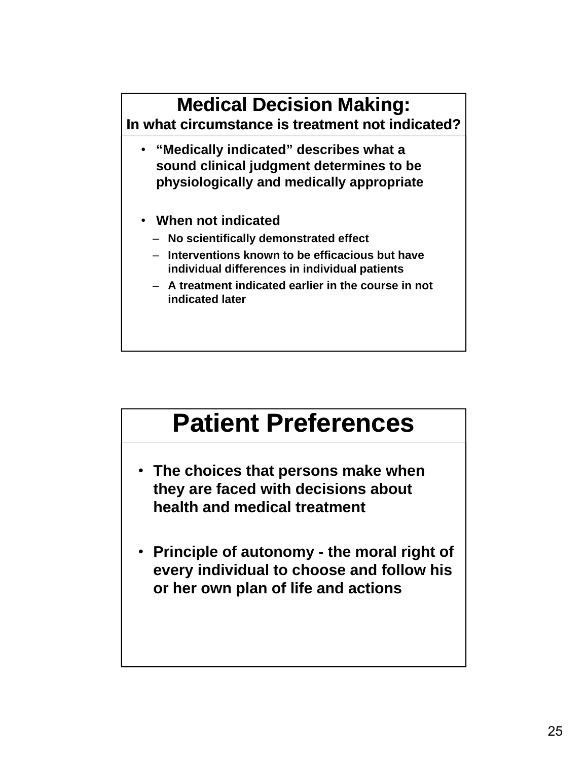#### **Medical Decision Making: In what circumstance is treatment not indicated?** • **"Medically indicated" describes what a sound clinical judgment determines to be physiologically and medically appropriate** • **When not indicated** ‒ **No scientifically demonstrated effect** ‒ **Interventions known to be efficacious but have individual differences in individual patients** ‒ **A treatment indicated earlier in the course in not indicated later**

### **Patient Preferences**

- **The choices that persons make when they are faced with decisions about health and medical treatment**
- **Principle of autonomy the moral right of every individual to choose and follow his or her own plan of life and actions**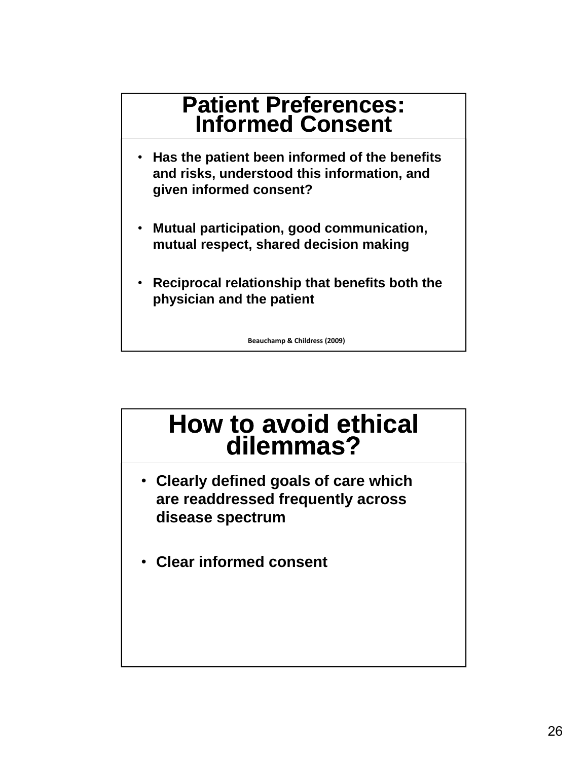#### **Patient Preferences: Informed Consent**

- **Has the patient been informed of the benefits and risks, understood this information, and given informed consent?**
- **Mutual participation, good communication, mutual respect, shared decision making**
- **Reciprocal relationship that benefits both the physician and the patient**

**Beauchamp & Childress (2009)**

### **How to avoid ethical dilemmas?**

- **Clearly defined goals of care which are readdressed frequently across disease spectrum**
- **Clear informed consent**